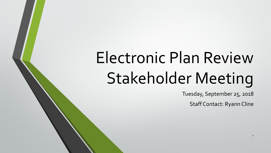# Electronic Plan Review Stakeholder Meeting

Tuesday, September 25, 2018

Staff Contact: Ryann Cline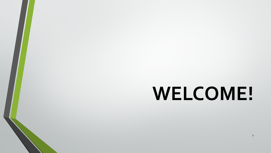## **WELCOME!**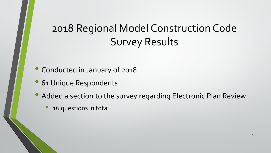## 2018 Regional Model Construction Code Survey Results

- Conducted in January of 2018
- **61 Unique Respondents**
- Added a section to the survey regarding Electronic Plan Review
	- 16 questions in total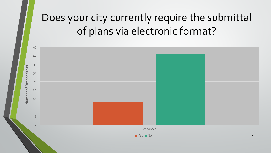## Does your city currently require the submittal of plans via electronic format?

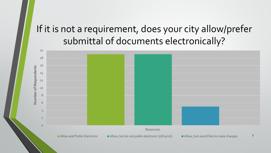#### If it is not a requirement, does your city allow/prefer submittal of documents electronically?

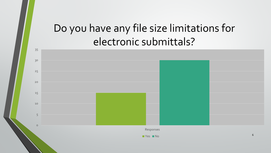#### Do you have any file size limitations for electronic submittals?

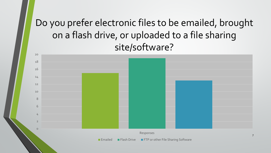#### Do you prefer electronic files to be emailed, brought on a flash drive, or uploaded to a file sharing site/software?

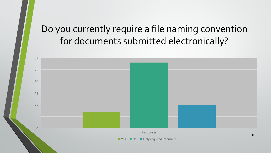#### Do you currently require a file naming convention for documents submitted electronically?

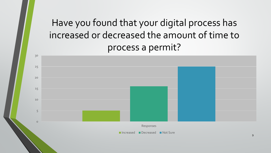#### Have you found that your digital process has increased or decreased the amount of time to process a permit?

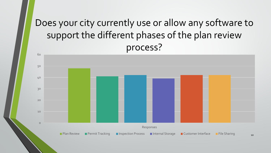#### Does your city currently use or allow any software to support the different phases of the plan review process?

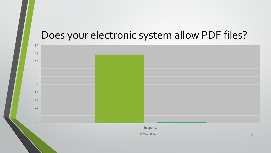#### Does your electronic system allow PDF files?

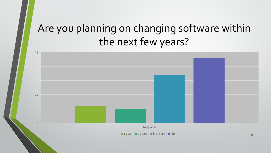### Are you planning on changing software within the next few years?

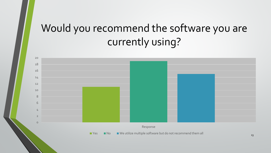## Would you recommend the software you are currently using?

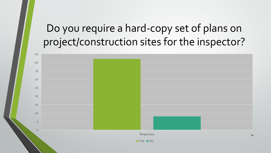### Do you require a hard-copy set of plans on project/construction sites for the inspector?

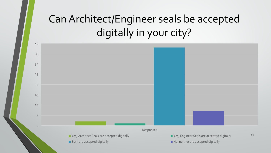## Can Architect/Engineer seals be accepted digitally in your city?

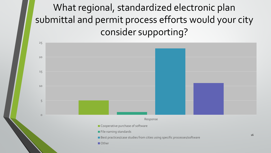What regional, standardized electronic plan submittal and permit process efforts would your city consider supporting?

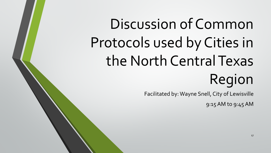Discussion of Common Protocols used by Cities in the North Central Texas Region

Facilitated by: Wayne Snell, City of Lewisville

9:15 AM to 9:45 AM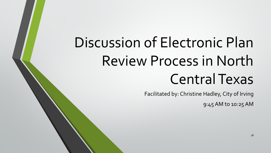## Discussion of Electronic Plan Review Process in North Central Texas

Facilitated by: Christine Hadley, City of Irving

9:45 AM to 10:25 AM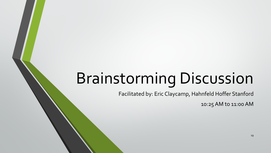## Brainstorming Discussion

Facilitated by: Eric Claycamp, Hahnfeld Hoffer Stanford

10:25 AM to 11:00 AM